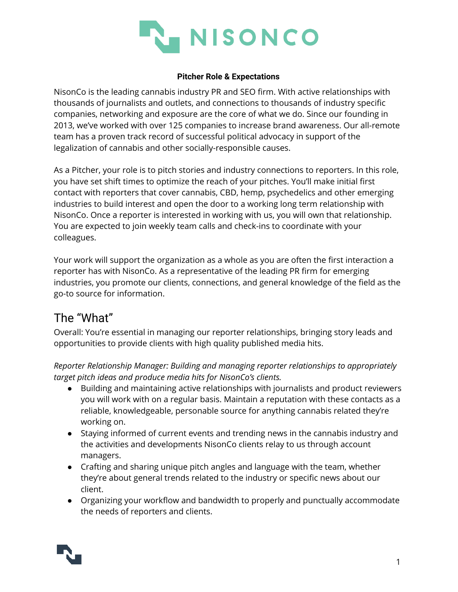

## **Pitcher Role & Expectations**

NisonCo is the leading cannabis industry PR and SEO firm. With active relationships with thousands of journalists and outlets, and connections to thousands of industry specific companies, networking and exposure are the core of what we do. Since our founding in 2013, we've worked with over 125 companies to increase brand awareness. Our all-remote team has a proven track record of successful political advocacy in support of the legalization of cannabis and other socially-responsible causes.

As a Pitcher, your role is to pitch stories and industry connections to reporters. In this role, you have set shift times to optimize the reach of your pitches. You'll make initial first contact with reporters that cover cannabis, CBD, hemp, psychedelics and other emerging industries to build interest and open the door to a working long term relationship with NisonCo. Once a reporter is interested in working with us, you will own that relationship. You are expected to join weekly team calls and check-ins to coordinate with your colleagues.

Your work will support the organization as a whole as you are often the first interaction a reporter has with NisonCo. As a representative of the leading PR firm for emerging industries, you promote our clients, connections, and general knowledge of the field as the go-to source for information.

## The "What"

Overall: You're essential in managing our reporter relationships, bringing story leads and opportunities to provide clients with high quality published media hits.

*Reporter Relationship Manager: Building and managing reporter relationships to appropriately target pitch ideas and produce media hits for NisonCo's clients.*

- Building and maintaining active relationships with journalists and product reviewers you will work with on a regular basis. Maintain a reputation with these contacts as a reliable, knowledgeable, personable source for anything cannabis related they're working on.
- Staying informed of current events and trending news in the cannabis industry and the activities and developments NisonCo clients relay to us through account managers.
- Crafting and sharing unique pitch angles and language with the team, whether they're about general trends related to the industry or specific news about our client.
- Organizing your workflow and bandwidth to properly and punctually accommodate the needs of reporters and clients.

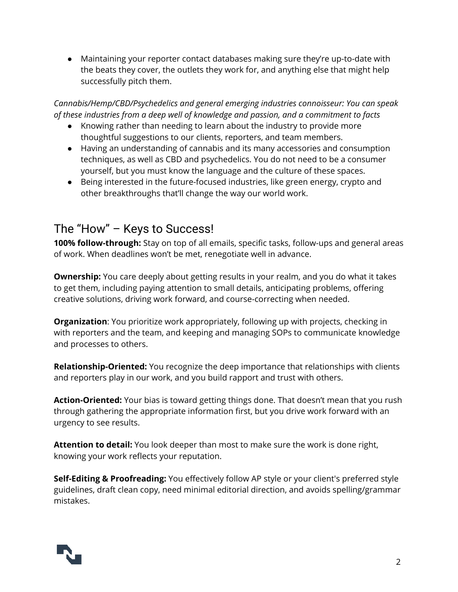● Maintaining your reporter contact databases making sure they're up-to-date with the beats they cover, the outlets they work for, and anything else that might help successfully pitch them.

*Cannabis/Hemp/CBD/Psychedelics and general emerging industries connoisseur: You can speak of these industries from a deep well of knowledge and passion, and a commitment to facts* 

- Knowing rather than needing to learn about the industry to provide more thoughtful suggestions to our clients, reporters, and team members.
- Having an understanding of cannabis and its many accessories and consumption techniques, as well as CBD and psychedelics. You do not need to be a consumer yourself, but you must know the language and the culture of these spaces.
- Being interested in the future-focused industries, like green energy, crypto and other breakthroughs that'll change the way our world work.

## The "How" – Keys to Success!

**100% follow-through:** Stay on top of all emails, specific tasks, follow-ups and general areas of work. When deadlines won't be met, renegotiate well in advance.

**Ownership:** You care deeply about getting results in your realm, and you do what it takes to get them, including paying attention to small details, anticipating problems, offering creative solutions, driving work forward, and course-correcting when needed.

**Organization**: You prioritize work appropriately, following up with projects, checking in with reporters and the team, and keeping and managing SOPs to communicate knowledge and processes to others.

**Relationship-Oriented:** You recognize the deep importance that relationships with clients and reporters play in our work, and you build rapport and trust with others.

**Action-Oriented:** Your bias is toward getting things done. That doesn't mean that you rush through gathering the appropriate information first, but you drive work forward with an urgency to see results.

**Attention to detail:** You look deeper than most to make sure the work is done right, knowing your work reflects your reputation.

**Self-Editing & Proofreading:** You effectively follow AP style or your client's preferred style guidelines, draft clean copy, need minimal editorial direction, and avoids spelling/grammar mistakes.